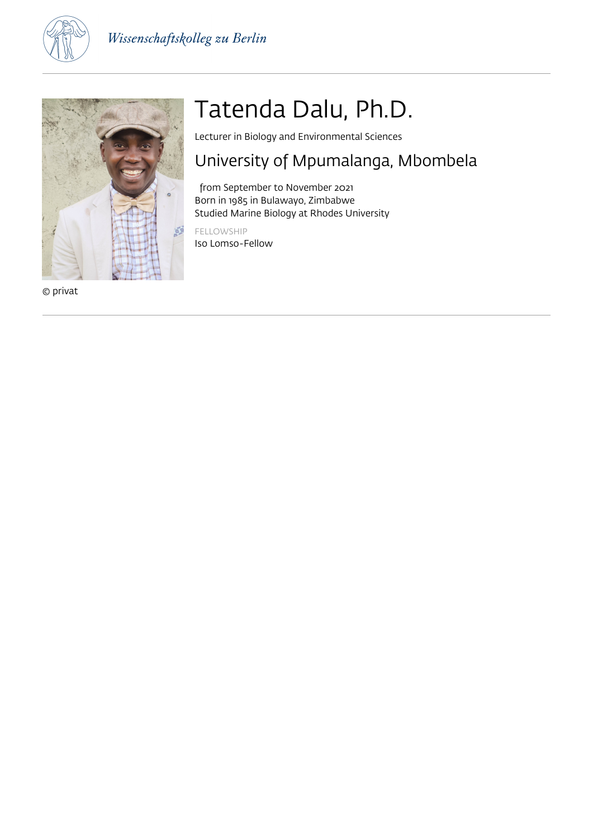



© privat

# Tatenda Dalu, Ph.D.

Lecturer in Biology and Environmental Sciences

### University of Mpumalanga, Mbombela

 from September to November 2021 Born in 1985 in Bulawayo, Zimbabwe Studied Marine Biology at Rhodes University

FELLOWSHIP Iso Lomso-Fellow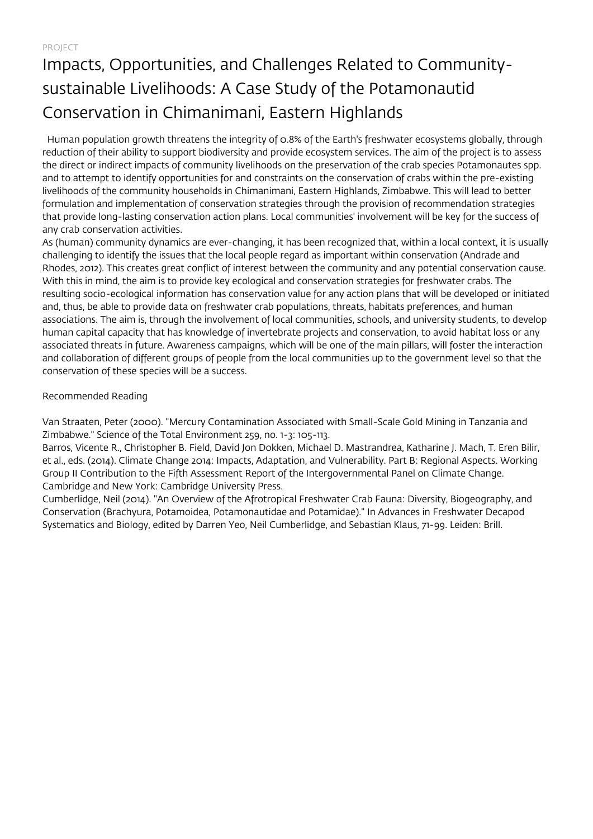PROJECT

## Impacts, Opportunities, and Challenges Related to Communitysustainable Livelihoods: A Case Study of the Potamonautid Conservation in Chimanimani, Eastern Highlands

 Human population growth threatens the integrity of 0.8% of the Earth's freshwater ecosystems globally, through reduction of their ability to support biodiversity and provide ecosystem services. The aim of the project is to assess the direct or indirect impacts of community livelihoods on the preservation of the crab species Potamonautes spp. and to attempt to identify opportunities for and constraints on the conservation of crabs within the pre-existing livelihoods of the community households in Chimanimani, Eastern Highlands, Zimbabwe. This will lead to better formulation and implementation of conservation strategies through the provision of recommendation strategies that provide long-lasting conservation action plans. Local communities' involvement will be key for the success of any crab conservation activities.

As (human) community dynamics are ever-changing, it has been recognized that, within a local context, it is usually challenging to identify the issues that the local people regard as important within conservation (Andrade and Rhodes, 2012). This creates great conflict of interest between the community and any potential conservation cause. With this in mind, the aim is to provide key ecological and conservation strategies for freshwater crabs. The resulting socio-ecological information has conservation value for any action plans that will be developed or initiated and, thus, be able to provide data on freshwater crab populations, threats, habitats preferences, and human associations. The aim is, through the involvement of local communities, schools, and university students, to develop human capital capacity that has knowledge of invertebrate projects and conservation, to avoid habitat loss or any associated threats in future. Awareness campaigns, which will be one of the main pillars, will foster the interaction and collaboration of different groups of people from the local communities up to the government level so that the conservation of these species will be a success.

Recommended Reading

Van Straaten, Peter (2000). "Mercury Contamination Associated with Small-Scale Gold Mining in Tanzania and Zimbabwe." Science of the Total Environment 259, no. 1-3: 105-113.

Barros, Vicente R., Christopher B. Field, David Jon Dokken, Michael D. Mastrandrea, Katharine J. Mach, T. Eren Bilir, et al., eds. (2014). Climate Change 2014: Impacts, Adaptation, and Vulnerability. Part B: Regional Aspects. Working Group II Contribution to the Fifth Assessment Report of the Intergovernmental Panel on Climate Change. Cambridge and New York: Cambridge University Press.

Cumberlidge, Neil (2014). "An Overview of the Afrotropical Freshwater Crab Fauna: Diversity, Biogeography, and Conservation (Brachyura, Potamoidea, Potamonautidae and Potamidae)." In Advances in Freshwater Decapod Systematics and Biology, edited by Darren Yeo, Neil Cumberlidge, and Sebastian Klaus, 71-99. Leiden: Brill.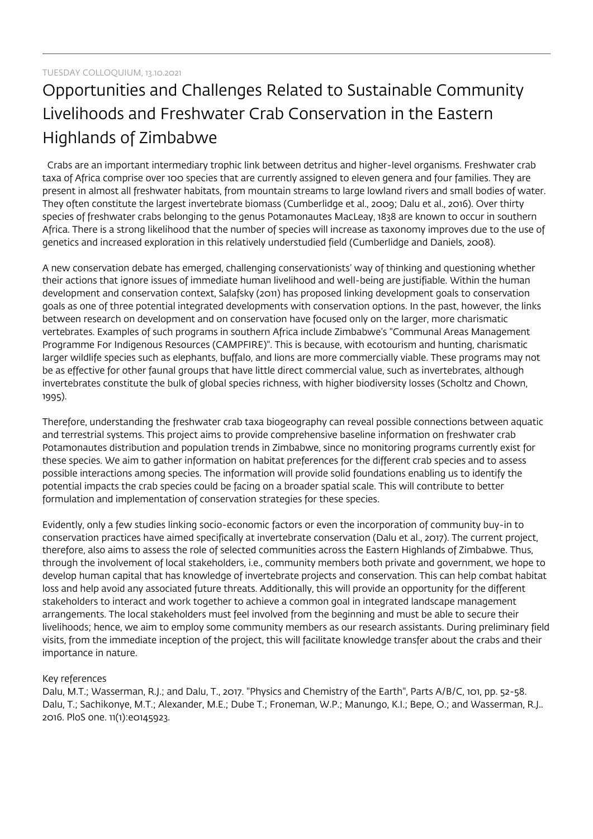## Opportunities and Challenges Related to Sustainable Community Livelihoods and Freshwater Crab Conservation in the Eastern Highlands of Zimbabwe

 Crabs are an important intermediary trophic link between detritus and higher-level organisms. Freshwater crab taxa of Africa comprise over 100 species that are currently assigned to eleven genera and four families. They are present in almost all freshwater habitats, from mountain streams to large lowland rivers and small bodies of water. They often constitute the largest invertebrate biomass (Cumberlidge et al., 2009; Dalu et al., 2016). Over thirty species of freshwater crabs belonging to the genus Potamonautes MacLeay, 1838 are known to occur in southern Africa. There is a strong likelihood that the number of species will increase as taxonomy improves due to the use of genetics and increased exploration in this relatively understudied field (Cumberlidge and Daniels, 2008).

A new conservation debate has emerged, challenging conservationists' way of thinking and questioning whether their actions that ignore issues of immediate human livelihood and well-being are justifiable. Within the human development and conservation context, Salafsky (2011) has proposed linking development goals to conservation goals as one of three potential integrated developments with conservation options. In the past, however, the links between research on development and on conservation have focused only on the larger, more charismatic vertebrates. Examples of such programs in southern Africa include Zimbabwe's "Communal Areas Management Programme For Indigenous Resources (CAMPFIRE)". This is because, with ecotourism and hunting, charismatic larger wildlife species such as elephants, buffalo, and lions are more commercially viable. These programs may not be as effective for other faunal groups that have little direct commercial value, such as invertebrates, although invertebrates constitute the bulk of global species richness, with higher biodiversity losses (Scholtz and Chown, 1995).

Therefore, understanding the freshwater crab taxa biogeography can reveal possible connections between aquatic and terrestrial systems. This project aims to provide comprehensive baseline information on freshwater crab Potamonautes distribution and population trends in Zimbabwe, since no monitoring programs currently exist for these species. We aim to gather information on habitat preferences for the different crab species and to assess possible interactions among species. The information will provide solid foundations enabling us to identify the potential impacts the crab species could be facing on a broader spatial scale. This will contribute to better formulation and implementation of conservation strategies for these species.

Evidently, only a few studies linking socio-economic factors or even the incorporation of community buy-in to conservation practices have aimed specifically at invertebrate conservation (Dalu et al., 2017). The current project, therefore, also aims to assess the role of selected communities across the Eastern Highlands of Zimbabwe. Thus, through the involvement of local stakeholders, i.e., community members both private and government, we hope to develop human capital that has knowledge of invertebrate projects and conservation. This can help combat habitat loss and help avoid any associated future threats. Additionally, this will provide an opportunity for the different stakeholders to interact and work together to achieve a common goal in integrated landscape management arrangements. The local stakeholders must feel involved from the beginning and must be able to secure their livelihoods; hence, we aim to employ some community members as our research assistants. During preliminary field visits, from the immediate inception of the project, this will facilitate knowledge transfer about the crabs and their importance in nature.

### Key references

Dalu, M.T.; Wasserman, R.J.; and Dalu, T., 2017. "Physics and Chemistry of the Earth", Parts A/B/C, 101, pp. 52-58. Dalu, T.; Sachikonye, M.T.; Alexander, M.E.; Dube T.; Froneman, W.P.; Manungo, K.I.; Bepe, O.; and Wasserman, R.J.. 2016. PloS one. 11(1):e0145923.